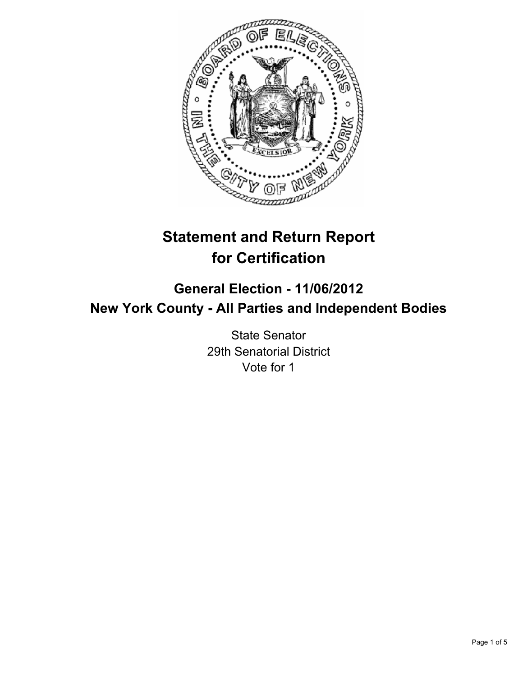

# **Statement and Return Report for Certification**

# **General Election - 11/06/2012 New York County - All Parties and Independent Bodies**

State Senator 29th Senatorial District Vote for 1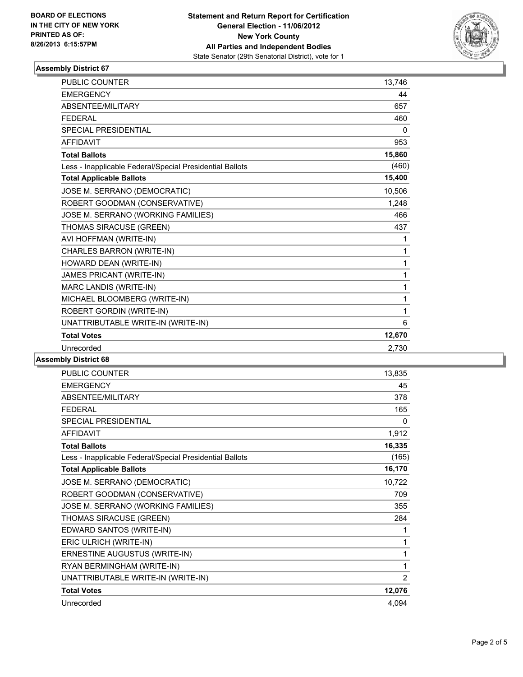

# **Assembly District 67**

| <b>PUBLIC COUNTER</b>                                    | 13.746 |
|----------------------------------------------------------|--------|
| <b>EMERGENCY</b>                                         | 44     |
| ABSENTEE/MILITARY                                        | 657    |
| <b>FEDERAL</b>                                           | 460    |
| <b>SPECIAL PRESIDENTIAL</b>                              | 0      |
| <b>AFFIDAVIT</b>                                         | 953    |
| <b>Total Ballots</b>                                     | 15,860 |
| Less - Inapplicable Federal/Special Presidential Ballots | (460)  |
| <b>Total Applicable Ballots</b>                          | 15,400 |
| JOSE M. SERRANO (DEMOCRATIC)                             | 10,506 |
| ROBERT GOODMAN (CONSERVATIVE)                            | 1,248  |
| JOSE M. SERRANO (WORKING FAMILIES)                       | 466    |
| THOMAS SIRACUSE (GREEN)                                  | 437    |
| AVI HOFFMAN (WRITE-IN)                                   | 1      |
| CHARLES BARRON (WRITE-IN)                                | 1      |
| HOWARD DEAN (WRITE-IN)                                   | 1      |
| JAMES PRICANT (WRITE-IN)                                 | 1      |
| MARC LANDIS (WRITE-IN)                                   | 1      |
| MICHAEL BLOOMBERG (WRITE-IN)                             | 1      |
| ROBERT GORDIN (WRITE-IN)                                 | 1      |
| UNATTRIBUTABLE WRITE-IN (WRITE-IN)                       | 6      |
| <b>Total Votes</b>                                       | 12,670 |
| Unrecorded                                               | 2,730  |

# **Assembly District 68**

| <b>PUBLIC COUNTER</b>                                    | 13,835         |
|----------------------------------------------------------|----------------|
| <b>EMERGENCY</b>                                         | 45             |
| ABSENTEE/MILITARY                                        | 378            |
| <b>FEDERAL</b>                                           | 165            |
| <b>SPECIAL PRESIDENTIAL</b>                              | 0              |
| <b>AFFIDAVIT</b>                                         | 1,912          |
| <b>Total Ballots</b>                                     | 16,335         |
| Less - Inapplicable Federal/Special Presidential Ballots | (165)          |
| <b>Total Applicable Ballots</b>                          | 16,170         |
| JOSE M. SERRANO (DEMOCRATIC)                             | 10,722         |
| ROBERT GOODMAN (CONSERVATIVE)                            | 709            |
| JOSE M. SERRANO (WORKING FAMILIES)                       | 355            |
| THOMAS SIRACUSE (GREEN)                                  | 284            |
| EDWARD SANTOS (WRITE-IN)                                 | 1              |
| ERIC ULRICH (WRITE-IN)                                   | 1              |
| ERNESTINE AUGUSTUS (WRITE-IN)                            | 1              |
| RYAN BERMINGHAM (WRITE-IN)                               | 1              |
| UNATTRIBUTABLE WRITE-IN (WRITE-IN)                       | $\overline{2}$ |
| <b>Total Votes</b>                                       | 12,076         |
| Unrecorded                                               | 4,094          |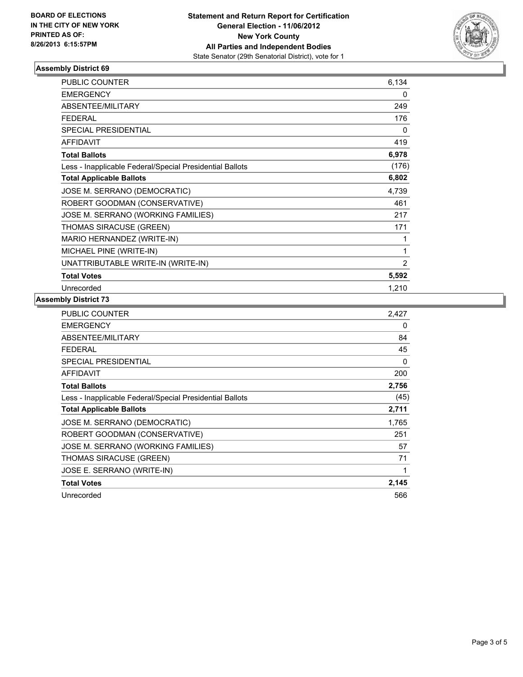

# **Assembly District 69**

| <b>PUBLIC COUNTER</b>                                    | 6,134          |
|----------------------------------------------------------|----------------|
| <b>EMERGENCY</b>                                         | 0              |
| <b>ABSENTEE/MILITARY</b>                                 | 249            |
| <b>FEDERAL</b>                                           | 176            |
| <b>SPECIAL PRESIDENTIAL</b>                              | 0              |
| <b>AFFIDAVIT</b>                                         | 419            |
| <b>Total Ballots</b>                                     | 6,978          |
| Less - Inapplicable Federal/Special Presidential Ballots | (176)          |
| <b>Total Applicable Ballots</b>                          | 6,802          |
| JOSE M. SERRANO (DEMOCRATIC)                             | 4,739          |
| ROBERT GOODMAN (CONSERVATIVE)                            | 461            |
| JOSE M. SERRANO (WORKING FAMILIES)                       | 217            |
| THOMAS SIRACUSE (GREEN)                                  | 171            |
| MARIO HERNANDEZ (WRITE-IN)                               | 1              |
| MICHAEL PINE (WRITE-IN)                                  | 1              |
| UNATTRIBUTABLE WRITE-IN (WRITE-IN)                       | $\overline{2}$ |
| <b>Total Votes</b>                                       | 5,592          |
| Unrecorded                                               | 1,210          |

#### **Assembly District 73**

| <b>PUBLIC COUNTER</b>                                    | 2,427 |
|----------------------------------------------------------|-------|
| <b>EMERGENCY</b>                                         | 0     |
| ABSENTEE/MILITARY                                        | 84    |
| <b>FEDERAL</b>                                           | 45    |
| <b>SPECIAL PRESIDENTIAL</b>                              | 0     |
| AFFIDAVIT                                                | 200   |
| <b>Total Ballots</b>                                     | 2,756 |
| Less - Inapplicable Federal/Special Presidential Ballots | (45)  |
|                                                          |       |
| <b>Total Applicable Ballots</b>                          | 2,711 |
| JOSE M. SERRANO (DEMOCRATIC)                             | 1,765 |
| ROBERT GOODMAN (CONSERVATIVE)                            | 251   |
| JOSE M. SERRANO (WORKING FAMILIES)                       | 57    |
| THOMAS SIRACUSE (GREEN)                                  | 71    |
| JOSE E. SERRANO (WRITE-IN)                               | 1     |
| <b>Total Votes</b>                                       | 2,145 |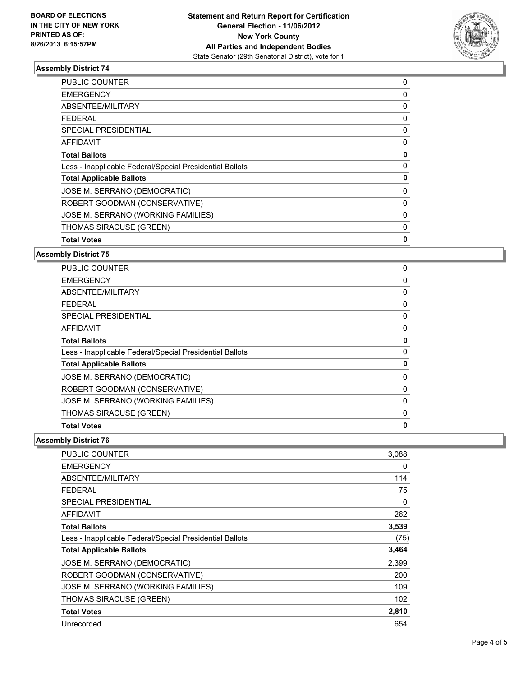

# **Assembly District 74**

| <b>PUBLIC COUNTER</b>                                    | 0 |
|----------------------------------------------------------|---|
| <b>EMERGENCY</b>                                         | 0 |
| ABSENTEE/MILITARY                                        | 0 |
| <b>FEDERAL</b>                                           | 0 |
| <b>SPECIAL PRESIDENTIAL</b>                              | 0 |
| AFFIDAVIT                                                | 0 |
| <b>Total Ballots</b>                                     | 0 |
| Less - Inapplicable Federal/Special Presidential Ballots | 0 |
| <b>Total Applicable Ballots</b>                          | 0 |
| JOSE M. SERRANO (DEMOCRATIC)                             | 0 |
| ROBERT GOODMAN (CONSERVATIVE)                            | 0 |
| JOSE M. SERRANO (WORKING FAMILIES)                       | 0 |
| THOMAS SIRACUSE (GREEN)                                  | 0 |
| <b>Total Votes</b>                                       | 0 |

#### **Assembly District 75**

| PUBLIC COUNTER                                           | 0        |
|----------------------------------------------------------|----------|
| EMERGENCY                                                | 0        |
| <b>ABSENTEE/MILITARY</b>                                 | 0        |
| FEDERAL                                                  | 0        |
| SPECIAL PRESIDENTIAL                                     | 0        |
| <b>AFFIDAVIT</b>                                         | 0        |
| <b>Total Ballots</b>                                     | 0        |
| Less - Inapplicable Federal/Special Presidential Ballots | $\Omega$ |
| <b>Total Applicable Ballots</b>                          | 0        |
| JOSE M. SERRANO (DEMOCRATIC)                             | 0        |
| ROBERT GOODMAN (CONSERVATIVE)                            | 0        |
| JOSE M. SERRANO (WORKING FAMILIES)                       | 0        |
| THOMAS SIRACUSE (GREEN)                                  | 0        |
| <b>Total Votes</b>                                       | 0        |
|                                                          |          |

# **Assembly District 76**

| <b>PUBLIC COUNTER</b>                                    | 3,088 |
|----------------------------------------------------------|-------|
| <b>EMERGENCY</b>                                         | 0     |
| ABSENTEE/MILITARY                                        | 114   |
| <b>FEDERAL</b>                                           | 75    |
| SPECIAL PRESIDENTIAL                                     | 0     |
| <b>AFFIDAVIT</b>                                         | 262   |
| <b>Total Ballots</b>                                     | 3,539 |
| Less - Inapplicable Federal/Special Presidential Ballots | (75)  |
| <b>Total Applicable Ballots</b>                          | 3,464 |
| JOSE M. SERRANO (DEMOCRATIC)                             | 2,399 |
| ROBERT GOODMAN (CONSERVATIVE)                            | 200   |
| JOSE M. SERRANO (WORKING FAMILIES)                       | 109   |
| <b>THOMAS SIRACUSE (GREEN)</b>                           | 102   |
| <b>Total Votes</b>                                       | 2,810 |
| Unrecorded                                               | 654   |